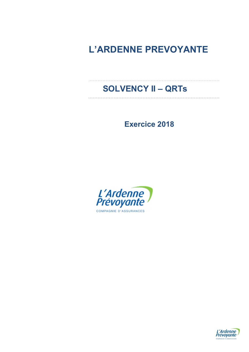# L'ARDENNE PREVOYANTE

# SOLVENCY II – QRTs

Exercice 2018

<u>. . . . . . . . . . . . .</u>



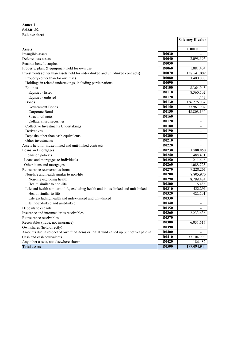### Annex I S.02.01.02 Balance sheet

|                                                                                        |                   | <b>Solvency II value</b> |
|----------------------------------------------------------------------------------------|-------------------|--------------------------|
| <b>Assets</b>                                                                          |                   | C0010                    |
| Intangible assets                                                                      | <b>R0030</b>      |                          |
| Deferred tax assets                                                                    | R0040             | 2.098.695                |
| Pension benefit surplus                                                                | R <sub>0050</sub> |                          |
| Property, plant & equipment held for own use                                           | R0060             | 1.881.404                |
| Investments (other than assets held for index-linked and unit-linked contracts)        | R0070             | 138.541.009              |
| Property (other than for own use)                                                      | <b>R0080</b>      | 3.400.000                |
| Holdings in related undertakings, including participations                             | R0090             |                          |
| Equities                                                                               | <b>R0100</b>      | 8.364.945                |
| Equities - listed                                                                      | R0110             | 8.360.502                |
| Equities - unlisted                                                                    | <b>R0120</b>      | 4.443                    |
| <b>Bonds</b>                                                                           | <b>R0130</b>      | 126.776.064              |
| Government Bonds                                                                       | R0140             | 77.967.904               |
| Corporate Bonds                                                                        | R0150             | 48.808.160               |
| Structured notes                                                                       | R0160             | $\overline{a}$           |
| Collateralised securities                                                              | R0170             | $\overline{\phantom{a}}$ |
| Collective Investments Undertakings                                                    | <b>R0180</b>      | $\overline{\phantom{a}}$ |
| Derivatives                                                                            | R0190             | $\overline{a}$           |
| Deposits other than cash equivalents                                                   | R <sub>0200</sub> | $\overline{\phantom{a}}$ |
| Other investments                                                                      | R0210             | $\blacksquare$           |
| Assets held for index-linked and unit-linked contracts                                 | R0220             | $\overline{a}$           |
| Loans and mortgages                                                                    | R0230             | 1.788.850                |
| Loans on policies                                                                      | R0240             | 488.481                  |
| Loans and mortgages to individuals                                                     | R0250             | 211.646                  |
| Other loans and mortgages                                                              | R0260             | 1.088.723                |
| Reinsurance recoverables from:                                                         | R0270             | 9.228.261                |
| Non-life and health similar to non-life                                                | R0280             | 8.805.970                |
| Non-life excluding health                                                              | R0290             | 8.799.484                |
| Health similar to non-life                                                             | <b>R0300</b>      | 6.486                    |
| Life and health similar to life, excluding health and index-linked and unit-linked     | <b>R0310</b>      | 422.291                  |
| Health similar to life                                                                 | <b>R0320</b>      | 422.291                  |
| Life excluding health and index-linked and unit-linked                                 | <b>R0330</b>      |                          |
| Life index-linked and unit-linked                                                      | R0340             | $\overline{\phantom{a}}$ |
| Deposits to cedants                                                                    | <b>R0350</b>      | $\blacksquare$           |
| Insurance and intermediaries receivables                                               | <b>R0360</b>      | 2.233.636                |
| Reinsurance receivables                                                                | R0370             |                          |
| Receivables (trade, not insurance)                                                     | R0380             | 6.031.617                |
| Own shares (held directly)                                                             | <b>R0390</b>      |                          |
| Amounts due in respect of own fund items or initial fund called up but not yet paid in | <b>R0400</b>      | $\blacksquare$           |
| Cash and cash equivalents                                                              | R0410             | 37.104.990               |
| Any other assets, not elsewhere shown                                                  | R0420             | 186.482                  |
| <b>Total assets</b>                                                                    | <b>R0500</b>      | 199.094.944              |
|                                                                                        |                   |                          |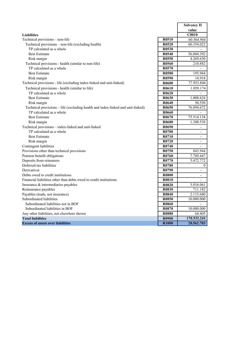|                                                                                 |                   | <b>Solvency II</b>       |
|---------------------------------------------------------------------------------|-------------------|--------------------------|
|                                                                                 |                   | value                    |
| <b>Liabilities</b>                                                              |                   | C0010                    |
| Technical provisions - non-life                                                 | R <sub>0510</sub> | 60.564.904               |
| Technical provisions - non-life (excluding health)                              | R <sub>0520</sub> | 60.354.022               |
| TP calculated as a whole                                                        | R0530             |                          |
| <b>Best Estimate</b>                                                            | R0540             | 56.084.392               |
| Risk margin                                                                     | R0550             | 4.269.630                |
| Technical provisions - health (similar to non-life)                             | <b>R0560</b>      | 210.882                  |
| TP calculated as a whole                                                        | R <sub>0570</sub> | $\overline{\phantom{a}}$ |
| <b>Best Estimate</b>                                                            | R0580             | 195.964                  |
| Risk margin                                                                     | R <sub>0590</sub> | 14.918                   |
| Technical provisions - life (excluding index-linked and unit-linked)            | <b>R0600</b>      | 77.953.846               |
| Technical provisions - health (similar to life)                                 | R0610             | 1.059.174                |
| TP calculated as a whole                                                        | R0620             |                          |
| <b>Best Estimate</b>                                                            | R0630             | 1.008.624                |
| Risk margin                                                                     | R0640             | 50.550                   |
| Technical provisions - life (excluding health and index-linked and unit-linked) | R <sub>0650</sub> | 76.894.672               |
| TP calculated as a whole                                                        | <b>R0660</b>      |                          |
| <b>Best Estimate</b>                                                            | R <sub>0670</sub> | 75.514.134               |
| Risk margin                                                                     | R0680             | 1.380.538                |
| Technical provisions - index-linked and unit-linked                             | R <sub>0690</sub> | $\overline{\phantom{a}}$ |
| TP calculated as a whole                                                        | R0700             | $\overline{\phantom{a}}$ |
| <b>Best Estimate</b>                                                            | R0710             | $\overline{\phantom{a}}$ |
| Risk margin                                                                     | R0720             | $\blacksquare$           |
| Contingent liabilities                                                          | R0740             | $\overline{a}$           |
| Provisions other than technical provisions                                      | R0750             | 843.944                  |
| Pension benefit obligations                                                     | R0760             | 7.789.447                |
| Deposits from reinsurers                                                        | R0770             | 5.472.772                |
| Deferred tax liabilities                                                        | R0780             | $\overline{0}$           |
| Derivatives                                                                     | R0790             | $\overline{\phantom{a}}$ |
| Debts owed to credit institutions                                               | <b>R0800</b>      | $\overline{\phantom{a}}$ |
| Financial liabilities other than debts owed to credit institutions              | R0810             | $\overline{\phantom{0}}$ |
| Insurance & intermediaries payables                                             | R0820             | 5.016.061                |
| Reinsurance payables                                                            | R0830             | 711.182                  |
| Payables (trade, not insurance)                                                 | <b>R0840</b>      | 2.115.680                |
| Subordinated liabilities                                                        | <b>R0850</b>      | 10.000.000               |
| Subordinated liabilities not in BOF                                             | <b>R0860</b>      |                          |
| Subordinated liabilities in BOF                                                 | R0870             | 10.000.000               |
| Any other liabilities, not elsewhere shown                                      | <b>R0880</b>      | 64.405                   |
| <b>Total liabilities</b>                                                        | <b>R0900</b>      | 170.532.241              |
| <b>Excess of assets over liabilities</b>                                        | <b>R1000</b>      | 28.562.703               |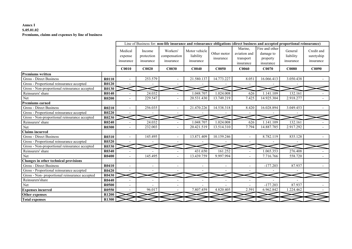#### Annex I S.05.01.02 Premiums, claims and expenses by line of business

|                                                |              |                                                                      |                          |                                       | Line of Business for: non-life insurance and reinsurance obligations (direct business and accepted proportional reinsurance) |                          |                                                   |                                                      |                                   |                                       |
|------------------------------------------------|--------------|----------------------------------------------------------------------|--------------------------|---------------------------------------|------------------------------------------------------------------------------------------------------------------------------|--------------------------|---------------------------------------------------|------------------------------------------------------|-----------------------------------|---------------------------------------|
|                                                |              | Medical<br>Income<br>protection<br>expense<br>insurance<br>insurance |                          | Workers'<br>compensation<br>insurance | Motor vehicle<br>liability<br>insurance                                                                                      | Other motor<br>insurance | Marine.<br>aviation and<br>transport<br>insurance | Fire and other<br>damage to<br>property<br>insurance | General<br>liability<br>insurance | Credit and<br>suretyship<br>insurance |
|                                                |              | C0010                                                                | C0020                    | <b>C0030</b>                          | C0040                                                                                                                        | <b>C0050</b>             | C <sub>0060</sub>                                 | C0070                                                | <b>C0080</b>                      | C0090                                 |
| <b>Premiums written</b>                        |              |                                                                      |                          |                                       |                                                                                                                              |                          |                                                   |                                                      |                                   |                                       |
| Gross - Direct Business                        | R0110        | $\blacksquare$                                                       | 253.579                  |                                       | 21.580.137                                                                                                                   | 14.773.227               | 8.051                                             | 16.066.413                                           | 3.050.438                         |                                       |
| Gross - Proportional reinsurance accepted      | <b>R0120</b> |                                                                      |                          |                                       |                                                                                                                              |                          |                                                   |                                                      |                                   |                                       |
| Gross - Non-proportional reinsurance accepted  | R0130        |                                                                      |                          |                                       |                                                                                                                              |                          |                                                   |                                                      |                                   |                                       |
| Reinsurers' share                              | R0140        |                                                                      | 24.032                   |                                       | .048.707                                                                                                                     | 1.024.008                | 626                                               | 1.141.109                                            | 132.161                           |                                       |
| Net                                            | R0200        |                                                                      | 229.547                  |                                       | 20.531.430                                                                                                                   | 13.749.219               | 7.425                                             | 14.925.304                                           | 2.918.277                         |                                       |
| <b>Premiums earned</b>                         |              |                                                                      |                          |                                       |                                                                                                                              |                          |                                                   |                                                      |                                   |                                       |
| Gross - Direct Business                        | R0210        |                                                                      | 256.035                  |                                       | 21.470.226                                                                                                                   | 14.538.318               | 8.420                                             | 16.028.894                                           | 3.049.453                         |                                       |
| Gross - Proportional reinsurance accepted      | R0220        |                                                                      |                          |                                       |                                                                                                                              |                          |                                                   |                                                      |                                   |                                       |
| Gross - Non-proportional reinsurance accepted  | R0230        |                                                                      |                          |                                       |                                                                                                                              |                          |                                                   |                                                      |                                   |                                       |
| Reinsurers' share                              | R0240        |                                                                      | 24.032                   |                                       | .048.707                                                                                                                     | 1.024.008                | 626                                               | 1.141.109                                            | 132.161                           |                                       |
| Net                                            | <b>R0300</b> |                                                                      | 232.003                  |                                       | 20.421.519                                                                                                                   | 13.514.310               | 7.794                                             | 14.887.785                                           | 2.917.292                         |                                       |
| <b>Claims incurred</b>                         |              |                                                                      |                          |                                       |                                                                                                                              |                          |                                                   |                                                      |                                   |                                       |
| Gross - Direct Business                        | R0310        | $\sim$                                                               | 145.495                  |                                       | 13.871.409                                                                                                                   | 10.159.246               |                                                   | 8.782.119                                            | 835.128                           |                                       |
| Gross - Proportional reinsurance accepted      | R0320        |                                                                      |                          |                                       |                                                                                                                              |                          |                                                   |                                                      |                                   |                                       |
| Gross - Non-proportional reinsurance accepted  | R0330        |                                                                      |                          |                                       |                                                                                                                              |                          |                                                   |                                                      |                                   |                                       |
| Reinsurers' share                              | R0340        | $\overline{\phantom{a}}$                                             |                          |                                       | 431.650                                                                                                                      | 161.252                  | $\blacksquare$                                    | 1.065.353                                            | 276.408                           |                                       |
| Net                                            | R0400        | $\overline{a}$                                                       | 145.495                  |                                       | 13.439.759                                                                                                                   | 9.997.994                |                                                   | 7.716.766                                            | 558.720                           | $\overline{\phantom{a}}$              |
| Changes in other technical provisions          |              |                                                                      |                          |                                       |                                                                                                                              |                          |                                                   |                                                      |                                   |                                       |
| Gross - Direct Business                        | R0410        |                                                                      | $\overline{\phantom{a}}$ | $\overline{\phantom{a}}$              | $\overline{\phantom{a}}$                                                                                                     |                          | $\overline{\phantom{a}}$                          | $-177.203$                                           | 87.937                            |                                       |
| Gross - Proportional reinsurance accepted      | R0420        | $\sim$                                                               | $\blacksquare$           | ٠                                     | $\overline{\phantom{a}}$                                                                                                     |                          | $\overline{\phantom{a}}$                          |                                                      |                                   |                                       |
| Gross - Non- proportional reinsurance accepted | R0430        |                                                                      |                          |                                       |                                                                                                                              |                          |                                                   |                                                      |                                   |                                       |
| Reinsurers'share                               | R0440        |                                                                      |                          | $\overline{\phantom{0}}$              | $\overline{\phantom{a}}$                                                                                                     |                          |                                                   |                                                      |                                   |                                       |
| Net                                            | <b>R0500</b> |                                                                      |                          | $\overline{a}$                        |                                                                                                                              |                          |                                                   | $-177.203$                                           | 87.937                            |                                       |
| <b>Expenses incurred</b>                       | <b>R0550</b> |                                                                      | 96.017                   |                                       | 7.807.459                                                                                                                    | 4.820.405                | 2.591                                             | 6.962.842                                            | .224.462                          |                                       |
| Other expenses                                 | <b>R1200</b> |                                                                      |                          |                                       |                                                                                                                              |                          |                                                   |                                                      |                                   |                                       |
| <b>Total expenses</b>                          | <b>R1300</b> |                                                                      |                          |                                       |                                                                                                                              |                          |                                                   |                                                      |                                   |                                       |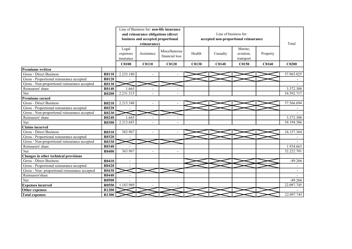|                                                |              |                |                                     | Line of Business for: non-life insurance |              |                       |                                       |              |                          |
|------------------------------------------------|--------------|----------------|-------------------------------------|------------------------------------------|--------------|-----------------------|---------------------------------------|--------------|--------------------------|
|                                                |              |                | and reinsurance obligations (direct |                                          |              | Line of business for: |                                       |              |                          |
|                                                |              |                | business and accepted proportional  |                                          |              |                       | accepted non-proportional reinsurance |              |                          |
|                                                |              |                | reinsurance)                        |                                          |              |                       |                                       |              | Total                    |
|                                                |              | Legal          |                                     |                                          |              |                       | Marine,                               |              |                          |
|                                                |              | expenses       | Assistance                          | Miscellaneous                            | Health       | Casualty              | aviation,                             | Property     |                          |
|                                                |              | insurance      |                                     | financial loss                           |              |                       | transport                             |              |                          |
|                                                |              | <b>C0100</b>   | <b>C0110</b>                        | C <sub>0120</sub>                        | <b>C0130</b> | <b>C0140</b>          | C0150                                 | <b>C0160</b> | C <sub>0200</sub>        |
| <b>Premiums written</b>                        |              |                |                                     |                                          |              |                       |                                       |              |                          |
| Gross - Direct Business                        | R0110        | 2.233.180      |                                     |                                          |              |                       |                                       |              | 57.965.025               |
| Gross - Proportional reinsurance accepted      | <b>R0120</b> |                |                                     |                                          |              |                       |                                       |              |                          |
| Gross - Non-proportional reinsurance accepted  | R0130        |                |                                     |                                          |              |                       |                                       |              |                          |
| Reinsurers' share                              | R0140        | 1.665          | $\overline{\phantom{a}}$            |                                          |              |                       |                                       |              | 3.372.308                |
| Net                                            | R0200        | 2.231.515      |                                     |                                          |              |                       |                                       |              | 54.592.717               |
| Premiums earned                                |              |                |                                     |                                          |              |                       |                                       |              |                          |
| <b>Gross - Direct Business</b>                 | R0210        | 2.215.348      |                                     |                                          |              |                       |                                       |              | 57.566.694               |
| Gross - Proportional reinsurance accepted      | R0220        |                |                                     |                                          |              |                       |                                       |              |                          |
| Gross - Non-proportional reinsurance accepted  | R0230        |                |                                     |                                          |              |                       |                                       |              |                          |
| Reinsurers' share                              | R0240        | 1.665          |                                     |                                          |              |                       |                                       |              | 3.372.308                |
| Net                                            | R0300        | 2.213.683      |                                     |                                          |              |                       |                                       |              | 54.194.386               |
| Claims incurred                                |              |                |                                     |                                          |              |                       |                                       |              |                          |
| <b>Gross - Direct Business</b>                 | R0310        | 363.967        | $\overline{\phantom{a}}$            | $\overline{a}$                           |              |                       |                                       |              | 34.157.364               |
| Gross - Proportional reinsurance accepted      | R0320        |                |                                     |                                          |              |                       |                                       |              |                          |
| Gross - Non-proportional reinsurance accepted  | <b>R0330</b> |                |                                     |                                          |              |                       |                                       |              |                          |
| Reinsurers' share                              | R0340        |                |                                     |                                          |              |                       |                                       |              | 1.934.663                |
| Net                                            | R0400        | 363.967        |                                     | $\overline{\phantom{a}}$                 |              |                       |                                       |              | 32.222.701               |
| Changes in other technical provisions          |              |                |                                     |                                          |              |                       |                                       |              |                          |
| Gross - Direct Business                        | R0410        | L,             |                                     |                                          |              |                       |                                       |              | $-89.266$                |
| Gross - Proportional reinsurance accepted      | R0420        |                |                                     |                                          |              |                       |                                       |              |                          |
| Gross - Non- proportional reinsurance accepted | R0430        |                |                                     |                                          |              |                       |                                       |              | $\overline{\phantom{a}}$ |
| Reinsurers'share                               | R0440        | $\blacksquare$ |                                     |                                          |              |                       |                                       |              |                          |
| Net                                            | <b>R0500</b> |                |                                     |                                          |              |                       |                                       |              | $-89.266$                |
| <b>Expenses incurred</b>                       | R0550        | 1.183.969      |                                     |                                          |              |                       |                                       |              | 22.097.745               |
| Other expenses                                 | R1200        |                |                                     |                                          |              |                       |                                       |              |                          |
| <b>Total expenses</b>                          | R1300        |                |                                     |                                          |              |                       |                                       |              | 22.097.745               |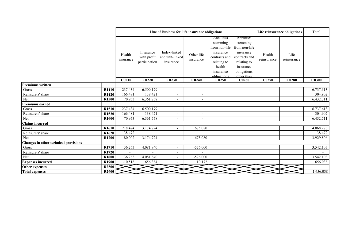|                                       |                   |                          |                                           | Line of Business for: life insurance obligations |                          |                                                                                                                           |                                                                                                                               |                       | Life reinsurance obligations |              |  |
|---------------------------------------|-------------------|--------------------------|-------------------------------------------|--------------------------------------------------|--------------------------|---------------------------------------------------------------------------------------------------------------------------|-------------------------------------------------------------------------------------------------------------------------------|-----------------------|------------------------------|--------------|--|
|                                       |                   | Health<br>insurance      | Insurance<br>with profit<br>participation | Index-linked<br>and unit-linked<br>insurance     | Other life<br>insurance  | Annuities<br>stemming<br>from non-life<br>insurance<br>contracts and<br>relating to<br>health<br>insurance<br>obligations | Annuities<br>stemming<br>from non-life<br>insurance<br>contracts and<br>relating to<br>insurance<br>obligations<br>other than | Health<br>reinsurance | Life<br>reinsurance          |              |  |
|                                       |                   | C <sub>0210</sub>        | C <sub>0220</sub>                         | C <sub>0230</sub>                                | C <sub>0240</sub>        | C <sub>0250</sub>                                                                                                         | C <sub>0260</sub>                                                                                                             | C <sub>0270</sub>     | C0280                        | <b>C0300</b> |  |
| <b>Premiums written</b>               |                   |                          |                                           |                                                  |                          |                                                                                                                           |                                                                                                                               |                       |                              |              |  |
| $\rm Gross$                           | R1410             | 237.434                  | 6.500.179                                 | $\sim$                                           | $\overline{\phantom{a}}$ |                                                                                                                           |                                                                                                                               |                       |                              | 6.737.613    |  |
| Reinsurers' share                     | R1420             | 166.481                  | 138.421                                   | $\sim$                                           | $\overline{\phantom{a}}$ |                                                                                                                           |                                                                                                                               |                       |                              | 304.902      |  |
| Net                                   | R1500             | 70.953                   | 6.361.758                                 | $\sim$                                           | $\overline{\phantom{a}}$ |                                                                                                                           |                                                                                                                               |                       |                              | 6.432.711    |  |
| Premiums earned                       |                   |                          |                                           |                                                  |                          |                                                                                                                           |                                                                                                                               |                       |                              |              |  |
| Gross                                 | R1510             | 237.434                  | 6.500.179                                 | $\overline{\phantom{a}}$                         | $\overline{\phantom{a}}$ |                                                                                                                           |                                                                                                                               |                       |                              | 6.737.613    |  |
| Reinsurers' share                     | R1520             | 166.481                  | 138.421                                   | $\sim$                                           | $\sim$                   |                                                                                                                           |                                                                                                                               |                       |                              | 304.902      |  |
| Net                                   | R1600             | 70.953                   | 6.361.758                                 | $\overline{\phantom{a}}$                         | $\overline{\phantom{a}}$ |                                                                                                                           |                                                                                                                               |                       |                              | 6.432.711    |  |
| <b>Claims incurred</b>                |                   |                          |                                           |                                                  |                          |                                                                                                                           |                                                                                                                               |                       |                              |              |  |
| Gross                                 | R <sub>1610</sub> | 218.474                  | 3.174.724                                 | $\sim$                                           | 675.080                  |                                                                                                                           |                                                                                                                               |                       |                              | 4.068.278    |  |
| Reinsurers' share                     | R1620             | 138.472                  |                                           | $\overline{\phantom{a}}$                         |                          |                                                                                                                           |                                                                                                                               |                       |                              | 138.472      |  |
| Net                                   | R <sub>1700</sub> | 80.002                   | 3.174.724                                 | $\sim$                                           | 675.080                  |                                                                                                                           |                                                                                                                               |                       |                              | 3.929.806    |  |
| Changes in other technical provisions |                   |                          |                                           |                                                  |                          |                                                                                                                           |                                                                                                                               |                       |                              |              |  |
| Gross                                 | R1710             | 36.263                   | 4.081.840                                 | $\sim$                                           | $-576.000$               |                                                                                                                           |                                                                                                                               |                       |                              | 3.542.103    |  |
| Reinsurers' share                     | R1720             | $\overline{\phantom{a}}$ | $\overline{a}$                            | $\overline{\phantom{a}}$                         | $\overline{\phantom{a}}$ |                                                                                                                           |                                                                                                                               |                       |                              |              |  |
| Net                                   | R1800             | 36.263                   | 4.081.840                                 | $\sim$                                           | $-576.000$               |                                                                                                                           |                                                                                                                               |                       |                              | 3.542.103    |  |
| <b>Expenses incurred</b>              | R1900             | $-10.518$                | 1.656.384                                 |                                                  | 10.172                   |                                                                                                                           |                                                                                                                               |                       |                              | 1.656.038    |  |
| Other expenses                        | R <sub>2500</sub> |                          |                                           |                                                  |                          |                                                                                                                           |                                                                                                                               |                       |                              |              |  |
| <b>Total expenses</b>                 | <b>R2600</b>      |                          |                                           |                                                  |                          |                                                                                                                           |                                                                                                                               |                       |                              | 1.656.038    |  |

 $\label{eq:1.1} \sum_{i=1}^n \frac{1}{i!} \sum_{j=1}^n \frac{1}{j!} \sum_{j=1}^n \frac{1}{j!} \sum_{j=1}^n \frac{1}{j!} \sum_{j=1}^n \frac{1}{j!} \sum_{j=1}^n \frac{1}{j!} \sum_{j=1}^n \frac{1}{j!} \sum_{j=1}^n \frac{1}{j!} \sum_{j=1}^n \frac{1}{j!} \sum_{j=1}^n \frac{1}{j!} \sum_{j=1}^n \frac{1}{j!} \sum_{j=1}^n \frac{1}{j!} \sum_{j=1}$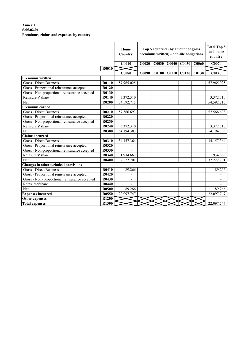### Annex I S.05.02.01 Premiums, claims and expenses by country

|                                               |              | Home<br>Country |              |              |       | Top 5 countries (by amount of gross<br>premiums written) - non-life obligations |       | <b>Total Top 5</b><br>and home<br>country |
|-----------------------------------------------|--------------|-----------------|--------------|--------------|-------|---------------------------------------------------------------------------------|-------|-------------------------------------------|
|                                               |              | <b>C0010</b>    | C0020        | <b>C0030</b> | C0040 | C0050                                                                           | C0060 | C0070                                     |
|                                               | R0010        |                 |              |              |       |                                                                                 |       |                                           |
|                                               |              | <b>C0080</b>    | <b>C0090</b> |              |       | C0100 C0110 C0120                                                               | C0130 | <b>C0140</b>                              |
| <b>Premiums written</b>                       |              |                 |              |              |       |                                                                                 |       |                                           |
| <b>Gross - Direct Business</b>                | R0110        | 57.965.025      |              |              |       |                                                                                 |       | 57.965.025                                |
| Gross - Proportional reinsurance accepted     | <b>R0120</b> |                 |              |              |       |                                                                                 |       |                                           |
| Gross - Non-proportional reinsurance accepted | <b>R0130</b> |                 |              |              |       |                                                                                 |       |                                           |
| Reinsurers' share                             | <b>R0140</b> | 3.372.310       |              |              |       |                                                                                 |       | 3.372.310                                 |
| Net                                           | <b>R0200</b> | 54.592.715      |              |              |       |                                                                                 |       | 54.592.715                                |
| <b>Premiums earned</b>                        |              |                 |              |              |       |                                                                                 |       |                                           |
| <b>Gross - Direct Business</b>                | R0210        | 57.566.693      |              |              |       |                                                                                 |       | 57.566.693                                |
| Gross - Proportional reinsurance accepted     | R0220        |                 |              |              |       |                                                                                 |       |                                           |
| Gross - Non-proportional reinsurance accepted | R0230        |                 |              |              |       |                                                                                 |       |                                           |
| Reinsurers' share                             | R0240        | 3.372.310       |              |              |       |                                                                                 |       | 3.372.310                                 |
| Net                                           | <b>R0300</b> | 54.194.383      |              |              |       |                                                                                 |       | 54.194.383                                |
| <b>Claims incurred</b>                        |              |                 |              |              |       |                                                                                 |       |                                           |
| <b>Gross - Direct Business</b>                | <b>R0310</b> | 34.157.364      |              |              |       |                                                                                 |       | 34.157.364                                |
| Gross - Proportional reinsurance accepted     | <b>R0320</b> |                 |              |              |       |                                                                                 |       |                                           |
| Gross - Non-proportional reinsurance accepted | <b>R0330</b> |                 |              |              |       |                                                                                 |       |                                           |
| Reinsurers' share                             | <b>R0340</b> | 1.934.663       |              |              |       |                                                                                 |       | 1.934.663                                 |
| Net                                           | <b>R0400</b> | 32.222.701      |              |              |       |                                                                                 |       | 32.222.701                                |
| Changes in other technical provisions         |              |                 |              |              |       |                                                                                 |       |                                           |
| Gross - Direct Business                       | R0410        | $-89.266$       |              |              |       |                                                                                 |       | $-89.266$                                 |
| Gross - Proportional reinsurance accepted     | R0420        |                 |              |              |       |                                                                                 |       |                                           |
| Gross - Non-proportional reinsurance accepted | R0430        | $\frac{1}{2}$   |              |              |       |                                                                                 |       | $\overline{\phantom{a}}$                  |
| Reinsurers'share                              | <b>R0440</b> |                 |              |              |       |                                                                                 |       |                                           |
| Net                                           | <b>R0500</b> | $-89.266$       |              |              |       |                                                                                 |       | $-89.266$                                 |
| <b>Expenses</b> incurred                      | R0550        | 22.097.747      |              |              |       |                                                                                 |       | 22.097.747                                |
| <b>Other expenses</b>                         | <b>R1200</b> |                 |              |              |       |                                                                                 |       |                                           |
| <b>Total expenses</b>                         | <b>R1300</b> |                 |              |              |       |                                                                                 |       | 22.097.747                                |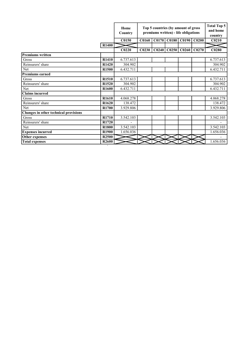|                                       |                   | Home<br>Country   |                   |                   | Top 5 countries (by amount of gross<br>premiums written) - life obligations |                   | <b>Total Top 5</b><br>and home<br>country |
|---------------------------------------|-------------------|-------------------|-------------------|-------------------|-----------------------------------------------------------------------------|-------------------|-------------------------------------------|
|                                       |                   | C0150             | <b>C0160</b>      |                   | C0170 C0180 C0190 C0200                                                     |                   | C <sub>0210</sub>                         |
|                                       | R1400             |                   |                   |                   |                                                                             |                   |                                           |
|                                       |                   | C <sub>0220</sub> | C <sub>0230</sub> | CO <sub>240</sub> | C0250   C0260                                                               | C <sub>0270</sub> | C0280                                     |
| <b>Premiums written</b>               |                   |                   |                   |                   |                                                                             |                   |                                           |
| Gross                                 | R1410             | 6.737.613         |                   |                   |                                                                             |                   | 6.737.613                                 |
| Reinsurers' share                     | R1420             | 304.902           |                   |                   |                                                                             |                   | 304.902                                   |
| Net                                   | R1500             | 6.432.711         |                   |                   |                                                                             |                   | 6.432.711                                 |
| <b>Premiums earned</b>                |                   |                   |                   |                   |                                                                             |                   |                                           |
| Gross                                 | R1510             | 6.737.613         |                   |                   |                                                                             |                   | 6.737.613                                 |
| Reinsurers' share                     | R1520             | 304.902           |                   |                   |                                                                             |                   | 304.902                                   |
| Net                                   | R <sub>1600</sub> | 6.432.711         |                   |                   |                                                                             |                   | 6.432.711                                 |
| <b>Claims</b> incurred                |                   |                   |                   |                   |                                                                             |                   |                                           |
| Gross                                 | R <sub>1610</sub> | 4.068.278         |                   |                   |                                                                             |                   | 4.068.278                                 |
| Reinsurers' share                     | R <sub>1620</sub> | 138.472           |                   |                   |                                                                             |                   | 138.472                                   |
| Net                                   | R <sub>1700</sub> | 3.929.806         |                   |                   |                                                                             |                   | 3.929.806                                 |
| Changes in other technical provisions |                   |                   |                   |                   |                                                                             |                   |                                           |
| <b>Gross</b>                          | R1710             | 3.542.103         |                   |                   |                                                                             |                   | 3.542.103                                 |
| Reinsurers' share                     | R <sub>1720</sub> |                   |                   |                   |                                                                             |                   |                                           |
| Net                                   | R1800             | 3.542.103         |                   |                   |                                                                             |                   | 3.542.103                                 |
| <b>Expenses incurred</b>              | R1900             | 1.656.036         |                   |                   |                                                                             |                   | 1.656.036                                 |
| Other expenses                        | R <sub>2500</sub> |                   |                   |                   |                                                                             |                   |                                           |
| <b>Total expenses</b>                 | R <sub>2600</sub> |                   |                   |                   |                                                                             |                   | 1.656.036                                 |

`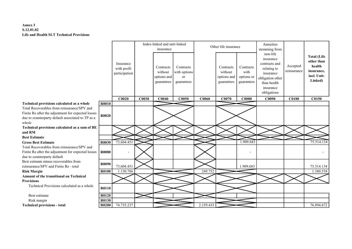### Annex I S.12.01.02 Life and Health SLT Technical Provisions

**r** 

|                                                                                                                                                                 |              |                                           |       | Index-linked and unit-linked<br>insurance         |                                               |              | Other life insurance                              |                                               | Annuities<br>stemming from                                                                                                        |                         |                                                                                    |
|-----------------------------------------------------------------------------------------------------------------------------------------------------------------|--------------|-------------------------------------------|-------|---------------------------------------------------|-----------------------------------------------|--------------|---------------------------------------------------|-----------------------------------------------|-----------------------------------------------------------------------------------------------------------------------------------|-------------------------|------------------------------------------------------------------------------------|
|                                                                                                                                                                 |              | Insurance<br>with profit<br>participation |       | Contracts<br>without<br>options and<br>guarantees | Contracts<br>with options<br>or<br>guarantees |              | Contracts<br>without<br>options and<br>guarantees | Contracts<br>with<br>options or<br>guarantees | non-life<br>insurance<br>contracts and<br>relating to<br>insurance<br>obligation other<br>than health<br>insurance<br>obligations | Accepted<br>reinsurance | <b>Total (Life</b><br>other than<br>health<br>insurance,<br>incl. Unit-<br>Linked) |
|                                                                                                                                                                 |              | C0020                                     | C0030 | <b>C0040</b>                                      | C0050                                         | <b>C0060</b> | C0070                                             | C0080                                         | C0090                                                                                                                             | <b>C0100</b>            | C0150                                                                              |
| Technical provisions calculated as a whole                                                                                                                      | <b>R0010</b> |                                           |       |                                                   |                                               |              |                                                   |                                               |                                                                                                                                   |                         |                                                                                    |
| Total Recoverables from reinsurance/SPV and<br>Finite Re after the adjustment for expected losses<br>due to counterparty default associated to TP as a<br>whole | <b>R0020</b> |                                           |       |                                                   |                                               |              |                                                   |                                               |                                                                                                                                   |                         |                                                                                    |
| Technical provisions calculated as a sum of BE<br>and RM                                                                                                        |              |                                           |       |                                                   |                                               |              |                                                   |                                               |                                                                                                                                   |                         |                                                                                    |
| <b>Best Estimate</b>                                                                                                                                            |              |                                           |       |                                                   |                                               |              |                                                   |                                               |                                                                                                                                   |                         |                                                                                    |
| <b>Gross Best Estimate</b>                                                                                                                                      | R0030        | 73.604.451                                |       |                                                   |                                               |              |                                                   | 1.909.683                                     |                                                                                                                                   |                         | 75.514.134                                                                         |
| Total Recoverables from reinsurance/SPV and<br>Finite Re after the adjustment for expected losses<br>due to counterparty default                                | <b>R0080</b> |                                           |       |                                                   |                                               |              |                                                   |                                               |                                                                                                                                   |                         |                                                                                    |
| Best estimate minus recoverables from<br>reinsurance/SPV and Finite Re - total                                                                                  | <b>R0090</b> | 73.604.451                                |       |                                                   |                                               |              |                                                   | 1.909.683                                     |                                                                                                                                   |                         | 75.514.134                                                                         |
| <b>Risk Margin</b>                                                                                                                                              | <b>R0100</b> | 1.130.786                                 |       |                                                   |                                               | 249.752      |                                                   |                                               |                                                                                                                                   |                         | 1.380.538                                                                          |
| Amount of the transitional on Technical                                                                                                                         |              |                                           |       |                                                   |                                               |              |                                                   |                                               |                                                                                                                                   |                         |                                                                                    |
| <b>Provisions</b>                                                                                                                                               |              |                                           |       |                                                   |                                               |              |                                                   |                                               |                                                                                                                                   |                         |                                                                                    |
| Technical Provisions calculated as a whole                                                                                                                      | R0110        |                                           |       |                                                   |                                               |              |                                                   |                                               |                                                                                                                                   |                         |                                                                                    |
| Best estimate                                                                                                                                                   | <b>R0120</b> |                                           |       |                                                   |                                               |              |                                                   |                                               |                                                                                                                                   |                         |                                                                                    |
| Risk margin                                                                                                                                                     | R0130        |                                           |       |                                                   |                                               |              |                                                   |                                               |                                                                                                                                   |                         |                                                                                    |
| <b>Technical provisions - total</b>                                                                                                                             | <b>R0200</b> | 74.735.237                                |       |                                                   |                                               | 2.159.435    |                                                   |                                               |                                                                                                                                   |                         | 76.894.672                                                                         |

┯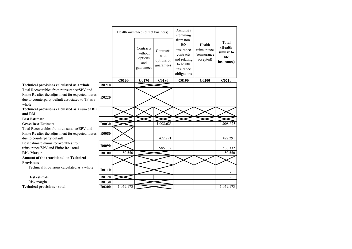|                                                                                                                                                                 |              |           | Health insurance (direct business)                   |                                               | Annuities<br>stemming                                                                                |                                                    |                                                             |
|-----------------------------------------------------------------------------------------------------------------------------------------------------------------|--------------|-----------|------------------------------------------------------|-----------------------------------------------|------------------------------------------------------------------------------------------------------|----------------------------------------------------|-------------------------------------------------------------|
|                                                                                                                                                                 |              |           | Contracts<br>without<br>options<br>and<br>guarantees | Contracts<br>with<br>options or<br>guarantees | from non-<br>life<br>insurance<br>contracts<br>and relating<br>to health<br>insurance<br>obligations | Health<br>reinsurance<br>(reinsurance<br>accepted) | <b>Total</b><br>(Health<br>similar to<br>life<br>insurance) |
|                                                                                                                                                                 |              | C0160     | C0170                                                | <b>C0180</b>                                  | C0190                                                                                                | C <sub>0200</sub>                                  | C <sub>0210</sub>                                           |
| Technical provisions calculated as a whole                                                                                                                      | R0210        |           |                                                      |                                               |                                                                                                      |                                                    |                                                             |
| Total Recoverables from reinsurance/SPV and<br>Finite Re after the adjustment for expected losses<br>due to counterparty default associated to TP as a<br>whole | R0220        |           |                                                      |                                               |                                                                                                      |                                                    |                                                             |
| Technical provisions calculated as a sum of BE                                                                                                                  |              |           |                                                      |                                               |                                                                                                      |                                                    |                                                             |
| and RM                                                                                                                                                          |              |           |                                                      |                                               |                                                                                                      |                                                    |                                                             |
| <b>Best Estimate</b>                                                                                                                                            |              |           |                                                      |                                               |                                                                                                      |                                                    |                                                             |
| <b>Gross Best Estimate</b>                                                                                                                                      | R0030        |           |                                                      | 1.008.623                                     |                                                                                                      |                                                    | 1.008.623                                                   |
| Total Recoverables from reinsurance/SPV and                                                                                                                     |              |           |                                                      |                                               |                                                                                                      |                                                    |                                                             |
| Finite Re after the adjustment for expected losses<br>due to counterparty default                                                                               | <b>R0080</b> |           |                                                      | 422.291                                       |                                                                                                      |                                                    | 422.291                                                     |
| Best estimate minus recoverables from<br>reinsurance/SPV and Finite Re - total                                                                                  | R0090        |           |                                                      | 586.332                                       |                                                                                                      |                                                    | 586.332                                                     |
| <b>Risk Margin</b>                                                                                                                                              | <b>R0100</b> | 50.550    |                                                      |                                               |                                                                                                      |                                                    | 50.550                                                      |
| Amount of the transitional on Technical                                                                                                                         |              |           |                                                      |                                               |                                                                                                      |                                                    |                                                             |
| <b>Provisions</b>                                                                                                                                               |              |           |                                                      |                                               |                                                                                                      |                                                    |                                                             |
| Technical Provisions calculated as a whole                                                                                                                      | R0110        |           |                                                      |                                               |                                                                                                      |                                                    |                                                             |
| Best estimate                                                                                                                                                   | R0120        |           |                                                      |                                               |                                                                                                      |                                                    | $\overline{\phantom{a}}$                                    |
| Risk margin                                                                                                                                                     | R0130        |           |                                                      |                                               |                                                                                                      |                                                    |                                                             |
| <b>Technical provisions - total</b>                                                                                                                             | <b>R0200</b> | 1.059.173 |                                                      |                                               |                                                                                                      |                                                    | 1.059.173                                                   |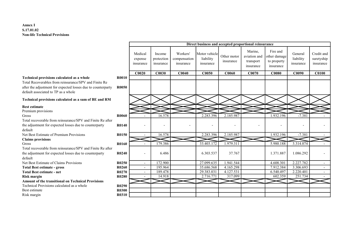#### Annex I S.17.01.02 Non-life Technical Provisions

|                                                                                                                                                                                                                   |                       |                                 |                                   |                                       |                                         |                          | Direct business and accepted proportional reinsurance |                                                      |                                   |                                       |
|-------------------------------------------------------------------------------------------------------------------------------------------------------------------------------------------------------------------|-----------------------|---------------------------------|-----------------------------------|---------------------------------------|-----------------------------------------|--------------------------|-------------------------------------------------------|------------------------------------------------------|-----------------------------------|---------------------------------------|
|                                                                                                                                                                                                                   |                       | Medical<br>expense<br>insurance | Income<br>protection<br>insurance | Workers'<br>compensation<br>insurance | Motor vehicle<br>liability<br>insurance | Other motor<br>insurance | Marine,<br>aviation and<br>transport<br>insurance     | Fire and<br>other damage<br>to property<br>insurance | General<br>liability<br>insurance | Credit and<br>suretyship<br>insurance |
|                                                                                                                                                                                                                   |                       | C <sub>0020</sub>               | C0030                             | C <sub>0040</sub>                     | <b>C0050</b>                            | C <sub>0060</sub>        | C0070                                                 | <b>C0080</b>                                         | C0090                             | <b>C0100</b>                          |
| <b>Technical provisions calculated as a whole</b><br>Total Recoverables from reinsurance/SPV and Finite Re<br>after the adjustment for expected losses due to counterparty<br>default associated to TP as a whole | <b>R0010</b><br>R0050 |                                 |                                   |                                       |                                         |                          |                                                       |                                                      |                                   |                                       |
| Technical provisions calculated as a sum of BE and RM                                                                                                                                                             |                       |                                 |                                   |                                       |                                         |                          |                                                       |                                                      |                                   |                                       |
| <b>Best estimate</b><br>Premium provisions<br>Gross<br>Total recoverable from reinsurance/SPV and Finite Re after                                                                                                 | R0060                 |                                 | 16.578                            |                                       | 2.283.396                               | 2.185.987                |                                                       | 1.932.196                                            | $-7.381$                          |                                       |
| the adjustment for expected losses due to counterparty<br>default                                                                                                                                                 | R0140                 |                                 | $\overline{\phantom{a}}$          |                                       | $\overline{\phantom{0}}$                |                          |                                                       |                                                      |                                   |                                       |
| Net Best Estimate of Premium Provisions                                                                                                                                                                           | R0150                 |                                 | 16.578                            |                                       | 2.283.396                               | 2.185.987                |                                                       | 1.932.196                                            | $-7.381$                          |                                       |
| <b>Claims provisions</b>                                                                                                                                                                                          |                       |                                 |                                   |                                       |                                         |                          |                                                       |                                                      |                                   |                                       |
| Gross                                                                                                                                                                                                             | R0160                 |                                 | 179.386                           |                                       | 33.403.172                              | 1.979.311                |                                                       | 5.980.188                                            | 3.314.074                         |                                       |
| Total recoverable from reinsurance/SPV and Finite Re after<br>the adjustment for expected losses due to counterparty<br>default                                                                                   | R0240                 |                                 | 6.486                             |                                       | 6.303.537                               | 37.767                   |                                                       | 1.371.887                                            | 1.086.292                         |                                       |
| Net Best Estimate of Claims Provisions                                                                                                                                                                            | R0250                 | $\sim$                          | 172.900                           |                                       | 27.099.635                              | 1.941.544                |                                                       | 4.608.301                                            | 2.227.782                         | $\overline{\phantom{a}}$              |
| <b>Total Best estimate - gross</b>                                                                                                                                                                                | R0260                 |                                 | 195.964                           |                                       | 35.686.568                              | 4.165.298                |                                                       | 7.912.384                                            | 3.306.693                         | $\sim$                                |
| <b>Total Best estimate - net</b>                                                                                                                                                                                  | R0270                 |                                 | 189.478                           |                                       | 29.383.031                              | 4.127.531                |                                                       | 6.540.497                                            | 2.220.401                         | $\overline{\phantom{a}}$              |
| <b>Risk margin</b>                                                                                                                                                                                                | <b>R0280</b>          |                                 | 14.918                            |                                       | 2.716.771                               | 317.099                  |                                                       | 602.359                                              | 251.734                           |                                       |
| <b>Amount of the transitional on Technical Provisions</b>                                                                                                                                                         |                       |                                 |                                   |                                       |                                         |                          |                                                       |                                                      |                                   |                                       |
| Technical Provisions calculated as a whole                                                                                                                                                                        | R0290                 |                                 |                                   |                                       |                                         |                          |                                                       |                                                      |                                   |                                       |
| Best estimate                                                                                                                                                                                                     | <b>R0300</b>          |                                 |                                   |                                       |                                         |                          |                                                       |                                                      |                                   |                                       |
| Risk margin                                                                                                                                                                                                       | R0310                 |                                 |                                   |                                       |                                         |                          |                                                       |                                                      |                                   |                                       |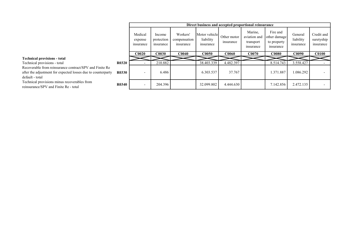|                                                                                                                                            |              |                                 | Direct business and accepted proportional reinsurance<br>Marine,<br>Fire and<br>Motor vehicle<br>Workers'<br>General<br>Income<br>aviation and<br>Other motor<br>other damage<br>liability<br>liability<br>protection<br>compensation<br>transport<br>to property<br>insurance<br>insurance<br>insurance<br>insurance<br>insurance<br>insurance<br>insurance<br><b>C0030</b><br><b>C0040</b><br><b>C0080</b><br><b>C0090</b><br><b>C0050</b><br>CO060<br>C0070<br>210.882<br>4.482.397<br>38.403.339<br>8.514.743<br>3.558.427<br>6.486<br>37.767<br>1.371.887<br>1.086.292<br>6.303.537 |  |            |           |  |           |           |                                       |  |
|--------------------------------------------------------------------------------------------------------------------------------------------|--------------|---------------------------------|------------------------------------------------------------------------------------------------------------------------------------------------------------------------------------------------------------------------------------------------------------------------------------------------------------------------------------------------------------------------------------------------------------------------------------------------------------------------------------------------------------------------------------------------------------------------------------------|--|------------|-----------|--|-----------|-----------|---------------------------------------|--|
|                                                                                                                                            |              | Medical<br>expense<br>insurance |                                                                                                                                                                                                                                                                                                                                                                                                                                                                                                                                                                                          |  |            |           |  |           |           | Credit and<br>suretyship<br>insurance |  |
|                                                                                                                                            |              | <b>C0020</b>                    |                                                                                                                                                                                                                                                                                                                                                                                                                                                                                                                                                                                          |  |            |           |  |           |           | <b>C0100</b>                          |  |
| <b>Technical provisions - total</b>                                                                                                        |              |                                 |                                                                                                                                                                                                                                                                                                                                                                                                                                                                                                                                                                                          |  |            |           |  |           |           |                                       |  |
| Technical provisions - total                                                                                                               | <b>R0320</b> |                                 |                                                                                                                                                                                                                                                                                                                                                                                                                                                                                                                                                                                          |  |            |           |  |           |           |                                       |  |
| Recoverable from reinsurance contract/SPV and Finite Re<br>after the adjustment for expected losses due to counterparty<br>default - total | <b>R0330</b> |                                 |                                                                                                                                                                                                                                                                                                                                                                                                                                                                                                                                                                                          |  |            |           |  |           |           |                                       |  |
| Technical provisions minus recoverables from<br>reinsurance/SPV and Finite Re - total                                                      | <b>R0340</b> |                                 | 204.396                                                                                                                                                                                                                                                                                                                                                                                                                                                                                                                                                                                  |  | 32.099.802 | 4.444.630 |  | 7.142.856 | 2.472.135 |                                       |  |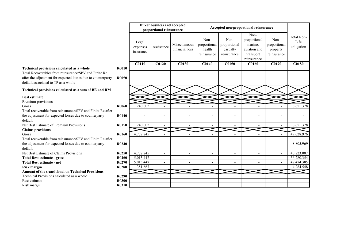## Technical provisions calculated as a whole R

#### Technical provisions calculated as a sum of BE and RM

## Best estimate

|                                                                                                                                                                                                            |                       |                                | Direct business and accepted |                                 |                                               |                                                 |                                                                             |                                                 |                                  |
|------------------------------------------------------------------------------------------------------------------------------------------------------------------------------------------------------------|-----------------------|--------------------------------|------------------------------|---------------------------------|-----------------------------------------------|-------------------------------------------------|-----------------------------------------------------------------------------|-------------------------------------------------|----------------------------------|
|                                                                                                                                                                                                            |                       |                                | proportional reinsurance     |                                 | Accepted non-proportional reinsurance         |                                                 |                                                                             |                                                 |                                  |
|                                                                                                                                                                                                            |                       | Legal<br>expenses<br>insurance | Assistance                   | Miscellaneous<br>financial loss | Non-<br>proportional<br>health<br>reinsurance | Non-<br>proportional<br>casualty<br>reinsurance | Non-<br>proportional<br>marine,<br>aviation and<br>transport<br>reinsurance | Non-<br>proportional<br>property<br>reinsurance | Total Non-<br>Life<br>obligation |
|                                                                                                                                                                                                            |                       | <b>C0110</b>                   | <b>C0120</b>                 | <b>C0130</b>                    | <b>C0140</b>                                  | <b>C0150</b>                                    | <b>C0160</b>                                                                | <b>C0170</b>                                    | <b>C0180</b>                     |
| Technical provisions calculated as a whole<br>Total Recoverables from reinsurance/SPV and Finite Re<br>after the adjustment for expected losses due to counterparty<br>default associated to TP as a whole | R0010<br><b>R0050</b> |                                |                              |                                 |                                               |                                                 |                                                                             |                                                 |                                  |
| Technical provisions calculated as a sum of BE and RM                                                                                                                                                      |                       |                                |                              |                                 |                                               |                                                 |                                                                             |                                                 |                                  |
| <b>Best estimate</b>                                                                                                                                                                                       |                       |                                |                              |                                 |                                               |                                                 |                                                                             |                                                 |                                  |
| Premium provisions                                                                                                                                                                                         |                       |                                |                              |                                 |                                               |                                                 |                                                                             |                                                 |                                  |
| Gross                                                                                                                                                                                                      | R0060                 | 240.602                        |                              |                                 |                                               |                                                 |                                                                             |                                                 | 6.651.378                        |
| Total recoverable from reinsurance/SPV and Finite Re after                                                                                                                                                 |                       |                                |                              |                                 |                                               |                                                 |                                                                             |                                                 |                                  |
| the adjustment for expected losses due to counterparty<br>default                                                                                                                                          | R0140                 |                                |                              |                                 |                                               |                                                 |                                                                             |                                                 |                                  |
| Net Best Estimate of Premium Provisions                                                                                                                                                                    | R0150                 | 240.602                        |                              |                                 |                                               |                                                 |                                                                             |                                                 | 6.651.378                        |
| <b>Claims provisions</b>                                                                                                                                                                                   |                       |                                |                              |                                 |                                               |                                                 |                                                                             |                                                 |                                  |
| Gross                                                                                                                                                                                                      | <b>R0160</b>          | 4.772.845                      |                              |                                 |                                               |                                                 |                                                                             |                                                 | 49.628.976                       |
| Total recoverable from reinsurance/SPV and Finite Re after<br>the adjustment for expected losses due to counterparty<br>default                                                                            | R <sub>0240</sub>     |                                |                              |                                 |                                               |                                                 |                                                                             | $\overline{a}$                                  | 8.805.969                        |
| Net Best Estimate of Claims Provisions                                                                                                                                                                     | R <sub>0250</sub>     | 4.772.845                      | $\overline{\phantom{a}}$     | $\blacksquare$                  | $\overline{\phantom{a}}$                      | $\blacksquare$                                  |                                                                             | $\overline{\phantom{a}}$                        | 40.823.007                       |
| <b>Total Best estimate - gross</b>                                                                                                                                                                         | R0260                 | 5.013.447                      | $\overline{\phantom{a}}$     | $\overline{\phantom{a}}$        | $\overline{\phantom{a}}$                      | $\overline{\phantom{a}}$                        | $\overline{\phantom{a}}$                                                    | $\overline{\phantom{a}}$                        | 56.280.354                       |
| <b>Total Best estimate - net</b>                                                                                                                                                                           | R0270                 | 5.013.447                      | $\overline{\phantom{a}}$     | $\overline{\phantom{a}}$        | $\overline{\phantom{a}}$                      | $\overline{\phantom{a}}$                        | $\overline{\phantom{a}}$                                                    | $\overline{\phantom{a}}$                        | 47.474.385                       |
| Risk margin                                                                                                                                                                                                | R0280                 | 381.667                        |                              |                                 |                                               |                                                 |                                                                             |                                                 | 4.284.548                        |
| <b>Amount of the transitional on Technical Provisions</b>                                                                                                                                                  |                       |                                |                              |                                 |                                               |                                                 |                                                                             |                                                 |                                  |
| Technical Provisions calculated as a whole                                                                                                                                                                 | R0290                 |                                |                              |                                 |                                               |                                                 |                                                                             |                                                 |                                  |
| Best estimate                                                                                                                                                                                              | <b>R0300</b>          |                                |                              |                                 |                                               |                                                 |                                                                             |                                                 |                                  |
| Risk margin                                                                                                                                                                                                | R0310                 |                                |                              |                                 |                                               |                                                 |                                                                             |                                                 |                                  |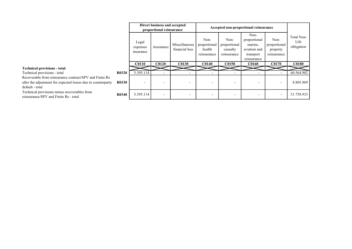|                                                                                                                                            |              | Direct business and accepted<br>proportional reinsurance |                          | Accepted non-proportional reinsurance |                                               |                                                 |                                                                             |                                                 |                                  |
|--------------------------------------------------------------------------------------------------------------------------------------------|--------------|----------------------------------------------------------|--------------------------|---------------------------------------|-----------------------------------------------|-------------------------------------------------|-----------------------------------------------------------------------------|-------------------------------------------------|----------------------------------|
|                                                                                                                                            |              | Legal<br>expenses<br>insurance                           | Assistance               | Miscellaneous<br>financial loss       | Non-<br>proportional<br>health<br>reinsurance | Non-<br>proportional<br>casualty<br>reinsurance | Non-<br>proportional<br>marine,<br>aviation and<br>transport<br>reinsurance | Non-<br>proportional<br>property<br>reinsurance | Total Non-<br>Life<br>obligation |
|                                                                                                                                            |              | <b>C0110</b>                                             | C <sub>0120</sub>        | <b>C0130</b>                          | <b>C0140</b>                                  | <b>C0150</b>                                    | <b>C0160</b>                                                                | <b>C0170</b>                                    | <b>C0180</b>                     |
| <b>Technical provisions - total</b>                                                                                                        |              |                                                          |                          |                                       |                                               |                                                 |                                                                             |                                                 |                                  |
| Technical provisions - total                                                                                                               | <b>R0320</b> | 5.395.114                                                |                          |                                       |                                               |                                                 |                                                                             |                                                 | 60.564.902                       |
| Recoverable from reinsurance contract/SPV and Finite Re<br>after the adjustment for expected losses due to counterparty<br>default - total | <b>R0330</b> | $\overline{\phantom{0}}$                                 | $\overline{\phantom{0}}$ |                                       |                                               | $\overline{\phantom{0}}$                        |                                                                             | $\overline{\phantom{a}}$                        | 8.805.969                        |
| Technical provisions minus recoverables from<br>reinsurance/SPV and Finite Re - total                                                      | <b>R0340</b> | 5.395.114                                                | $\overline{\phantom{a}}$ |                                       |                                               |                                                 |                                                                             | $\overline{\phantom{a}}$                        | 51.758.933                       |

#### Technical provisions - total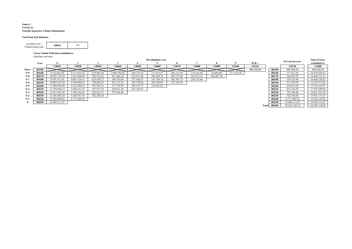#### Annex I S.19.01.21 Non-life Insurance Claims Information

#### Total Non-Life Business

| Accident year /   | <b>Z0010</b> |  |
|-------------------|--------------|--|
| Underwriting year |              |  |

#### Gross Claims Paid (non-cumulative) (absolute amount)

|       |              | Development year |              |            |              |              |            |            |              |            | In Current year |                   | Sum of years |               |  |                |
|-------|--------------|------------------|--------------|------------|--------------|--------------|------------|------------|--------------|------------|-----------------|-------------------|--------------|---------------|--|----------------|
|       | Year         |                  |              |            |              |              |            |            |              |            |                 | $10 & +$          |              |               |  | (cumulative)   |
|       |              | <b>C0010</b>     | C0020        | C0030      | <b>C0040</b> | <b>C0050</b> | C0060      | C0070      | <b>C0080</b> | C0090      | <b>C0100</b>    | C <sub>0110</sub> |              | C0170         |  | <b>C0180</b>   |
| Prior | <b>R0100</b> |                  |              |            |              |              |            |            |              |            |                 | 900.560.90        | <b>R0100</b> | 900.560.90    |  | 900.560,90     |
| $N-9$ | <b>R0160</b> | 9.332.802,20     | 4.711.835,76 | 474.605,28 | .008.796,36  | 269.375,16   | 317.975,57 | 264.152,54 | 174.216.46   | 38.864,98  | 217.412,30      |                   | R0160        | 217.412.30    |  | 16.810.036,61  |
| $N-8$ | R0170        | 10.591.519.18    | 5.473.644.48 | 782.510.32 | 431.064.38   | 252.911.80   | 296.306,78 | 228.273,44 | 207.813.15   | 166.487,78 |                 |                   | <b>R0170</b> | 166.487.78    |  | 18.430.531.31  |
| $N-7$ | <b>R0180</b> | 9.395.331,10     | 4.897.136,31 | 625.070.77 | 398.703,84   | 337.582,87   | 193.784,76 | 381.791,73 | 239.135,44   |            |                 |                   | <b>R0180</b> | 239.135.44    |  | 16.468.536,82  |
| $N-6$ | <b>R0190</b> | 10.030.367.56    | 4.148.004.33 | 720.042.55 | 357.113.19   | 345.370.24   | 282.289,09 | 272.330,70 |              |            |                 |                   | <b>R0190</b> | 272.330.70    |  | 16.155.517,66  |
| $N-5$ | <b>R0200</b> | 11.484.548.09    | 4.341.608.13 | 593.942,21 | 277.319.59   | 420.367,73   | 234.833,92 |            |              |            |                 |                   | <b>R0200</b> | 234.833,92    |  | 17.352.619,67  |
| $N-4$ | <b>R0210</b> | 11.358.894.13    | 4.926.913.33 | 707.817.23 | 529.621.28   | 453.143.97   |            |            |              |            |                 |                   | <b>R0210</b> | 453.143.97    |  | 17.976.389.94  |
| $N-3$ | <b>R0220</b> | 12.437.647,29    | 5.395.516,36 | 832.821,53 | 755.546,40   |              |            |            |              |            |                 |                   | <b>R0220</b> | 755.546,40    |  | 19.421.531,58  |
| $N-2$ | <b>R0230</b> | 13.381.685,10    | 5.286.937.93 | 762.550,28 |              |              |            |            |              |            |                 |                   | <b>R0230</b> | 762.550,28    |  | 19.431.173,31  |
| $N-1$ | R0240        | 13.505.060,66    | 6.171.068,54 |            |              |              |            |            |              |            |                 |                   | R0240        | 6.171.068.54  |  | 19.676.129,20  |
|       | R0250        | 19.469.311,87    |              |            |              |              |            |            |              |            |                 |                   | <b>R0250</b> | 19.469.311,87 |  | 19.469.311,87  |
|       |              |                  |              |            |              |              |            |            |              |            |                 |                   | Total R0260  | 29.642.382,10 |  | 182.092.338,87 |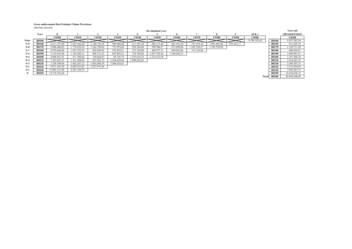#### Gross undiscounted Best Estimate Claims Provisions

(absolute amount)

|       | (absolute amount) |               |              |                   |              |              |              |              |                   |              |            |              |              |                   |
|-------|-------------------|---------------|--------------|-------------------|--------------|--------------|--------------|--------------|-------------------|--------------|------------|--------------|--------------|-------------------|
|       | Development year  |               |              |                   |              |              |              |              |                   |              |            |              |              | Year end          |
|       | Year              |               |              |                   |              |              |              | o            |                   |              |            | $10 & +$     |              | (discounted data) |
|       |                   | <b>C0200</b>  | C0210        | C <sub>0220</sub> | C0230        | <b>C0240</b> | C0250        | <b>C0260</b> | C <sub>0270</sub> | C0280        | C0290      | <b>C0300</b> |              | <b>C0360</b>      |
| Prior | R0100             |               |              |                   |              |              |              |              |                   |              |            | 9.786.102,43 | <b>R0100</b> | 9.267.265,34      |
| $N-9$ | <b>R0160</b>      | 6.217.197,80  | 1.925.362.04 | 1.140.756,76      | 906.960,40   | 613.585,24   | 666.271,44   | 467.472,54   | 553.474,16        | .093.685,44  | 855.423,17 |              | R0160        | 811.629,74        |
| $N-8$ | R0170             | 5.898.480,82  | .774.836,34  | 1.242.326,02      | 751.955,64   | 954.564,80   | 788.200,27   | 673.698,80   | 1.102.350,27      | 1.182.538,99 |            |              | <b>R0170</b> | 1.120.711,59      |
| $N-7$ | <b>R0180</b>      | 4.879.668,90  | 1.057.532,59 | 602.689,82        | 576.439,21   | 372.764,00   | 440.477,31   | 894.026,86   | 713.136,60        |              |            |              | R0180        | 680.826,67        |
| $N-6$ | R0190             | 5.179.632,44  | .158.202,11  | 908.715,22        | 647.495,21   | 754.784,05   | 1.837.785,58 | 1.764.036,15 |                   |              |            |              | R0190        | 1.689.891,51      |
| $N-5$ | <b>R0200</b>      | 4.606.451,91  | 871.388,66   | 194.664,67        | 69.726,79    | 1.255.616,55 | 1.232.553,58 |              |                   |              |            |              | <b>R0200</b> | 1.167.948,18      |
| $N-4$ | R0210             | 7.381.027,51  | 1.321.208,05 | 925.281,23        | 2.364.629,88 | 1.990.282,03 |              |              |                   |              |            |              | R0210        | 1.914.561,25      |
| $N-3$ | R0220             | 7.738.190,69  | 1.942.267,12 | 3.954.500,79      | 3.560.424,83 |              |              |              |                   |              |            |              | <b>R0220</b> | 3.390.707,31      |
| $N-2$ | <b>R0230</b>      | 9.871.301,30  | 4.029.253,05 | 3.357.871,44      |              |              |              |              |                   |              |            |              | <b>R0230</b> | 3.215.839,64      |
| $N-1$ | R0240             | 15.845.513,88 | 8.281.328,74 |                   |              |              |              |              |                   |              |            |              | R0240        | 7.946.201,15      |
| N     | R0250             | 14.719.763,64 |              |                   |              |              |              |              |                   |              |            |              | R0250        | 14.228.658,12     |
|       |                   |               |              |                   |              |              |              |              |                   |              |            | Total        | <b>R0260</b> | 45.434.240.49     |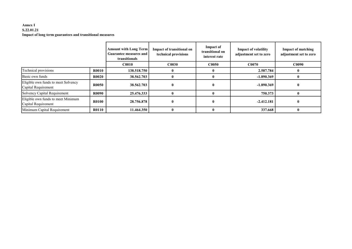#### Annex I S.22.01.21 Impact of long term guarantees and transitional measures

|                                                            |              | <b>Amount with Long Term</b><br>Guarantee measures and<br>transitionals | Impact of transitional on<br>technical provisions | Impact of<br>transitional on<br>interest rate | <b>Impact of volatility</b><br>adjustment set to zero | <b>Impact of matching</b><br>adjustment set to zero |
|------------------------------------------------------------|--------------|-------------------------------------------------------------------------|---------------------------------------------------|-----------------------------------------------|-------------------------------------------------------|-----------------------------------------------------|
|                                                            |              | <b>C0010</b>                                                            | C <sub>0030</sub>                                 | C0050                                         | C0070                                                 | <b>C0090</b>                                        |
| Technical provisions                                       | <b>R0010</b> | 138.518.750                                                             |                                                   |                                               | 2.587.784                                             |                                                     |
| Basic own funds                                            | <b>R0020</b> | 38.562.703                                                              |                                                   | 0                                             | $-1.890.369$                                          |                                                     |
| Eligible own funds to meet Solvency<br>Capital Requirement | <b>R0050</b> | 38.562.703                                                              | $\mathbf{0}$                                      | 0                                             | $-1.890.369$                                          |                                                     |
| Solvency Capital Requirement                               | <b>R0090</b> | 25.476.333                                                              |                                                   | $\mathbf{0}$                                  | 750.373                                               |                                                     |
| Eligible own funds to meet Minimum<br>Capital Requirement  | <b>R0100</b> | 28.756.878                                                              | $\mathbf{0}$                                      | $\bf{0}$                                      | $-2.412.181$                                          |                                                     |
| Minimum Capital Requirement                                | <b>R0110</b> | 11.464.350                                                              |                                                   | $\mathbf{0}$                                  | 337.668                                               |                                                     |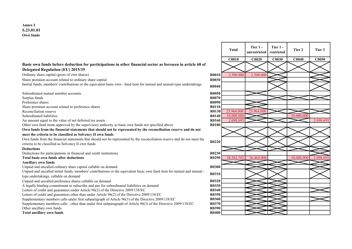#### Basic own funds before deduction for participations in other financial sector as foreseen in article 68 of Delegated Regulation (EU) 2015/35

Ordinary share capital (gross of own shares)  $\sqrt{2.500.000} = 2.500.000$  2.500.000 2.500.000

Share premium account related to ordinary share capital **R0030 R0030** 

Iinitial funds, members' contributions or the equivalent basic own - fund item for mutual and mutual-type undertakings R0040

Subordinated mutual member accounts R0050 Surplus funds **R0070** Preference shares **R0090** Share premium account related to preference shares R0110 Reconciliation reserve R0130 23.964.008 23.964.008 23.964.008 23.964.008 23.964.008 23.964.008 R0140 R0140 23.964.008 23.964.008 23.964.008 23.964.008 23.964.008 23.964.008 23.964.008 23.964.008 23.964.00 Subordinated liabilities R0140 10.000.000 10.000.000 An amount equal to the value of net deferred tax assets **R0160** 2.098.695 2.098.695 2.098.695 Other own fund items approved by the supervisory authority as basic own funds not specified above R0180 Own funds from the financial statements that should not be represented by the reconciliation reserve and do not meet the criteria to be classified as Solvency II own funds Own funds from the financial statements that should not be represented by the reconciliation reserve and do not meet the Own funds from the financial statements that should not be represented by the reconciliation reserve and do not meet the<br>criteria to be classified as Solvency II own funds Deductions Deductions for participations in financial and credit institutions R0230

#### Ancillary own funds

Unpaid and uncalled ordinary share capital callable on demand R0300 R0300

Unpaid and uncalled initial funds, members' contributions or the equivalent basic own fund item for mutual and mutual type undertakings, callable on demand<br>type undertakings, callable on demand

Unpaid and uncalled preference shares callable on demand **R0320** R0320

A legally binding commitment to subscribe and pay for subordinated liabilities on demand R0330

Letters of credit and guarantees under Article 96(2) of the Directive 2009/138/EC R0340

Letters of credit and guarantees other than under Article 96(2) of the Directive 2009/138/EC R0350

Supplementary members calls under first subparagraph of Article 96(3) of the Directive 2009/138/EC R0360

Supplementary members calls - other than under first subparagraph of Article 96(3) of the Directive 2009/138/EC R0370 Other ancillary own funds **R0390** Compared to the control of the control of the control of the control of the control of the control of the control of the control of the control of the control of the control of the control

Total ancillary own funds R0400

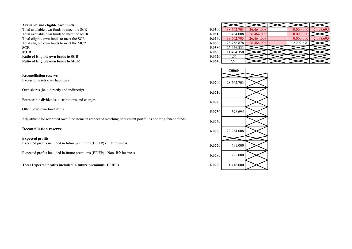#### Available and eligible own funds

Total available own funds to meet the SCR Total available own funds to meet the MCR Total eligible own funds to meet the SCR Total eligible own funds to meet the MCR **SCR** R0580  $25.476.333$ **MCR** R0600 11.464.350 Ratio of Eligible own funds to SCR Ratio of Eligible own funds to MCR

Reconciliation reserve

Own shares (held directly and indirectly) R0710

Foreseeable dividends, distributions and charges R0720

Adjustment for restricted own fund items in respect of matching adjustment portfolios and ring fenced funds R0740

#### Expected profits

Expected profits included in future premiums (EPIFP) - Life business R0770 691.000

Expected profits included in future premiums (EPIFP) - Non- life business R0780 R0780 R0780 R0780

Total Expected profits included in future premiums (EPIFP) R0790 1.416.000

| R0500 | 38.562.703 | 26.464.008 | 10.000.000 | 2.098.695 |
|-------|------------|------------|------------|-----------|
| R0510 | 36.464.008 | 26.464.008 | 10.000.000 |           |
| R0540 | 38.562.703 | 26.464.008 | 10.000.000 | 2.098.695 |
| R0550 | 28.756.878 | 26.464.008 | 2.292.870  |           |
| R0580 | 25.476.333 |            |            |           |
| R0600 | 11.464.350 |            |            |           |
| R0620 | 1,51       |            |            |           |
| R0640 | 2,51       |            |            |           |

![](_page_18_Figure_13.jpeg)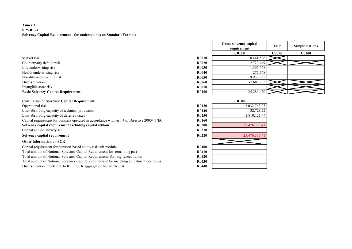#### Annex I S.25.01.21 Solvency Capital Requirement - for undertakings on Standard Formula

- Counterparty default risk R Life underwriting risk R0030 1.595.468
- Health underwriting risk R
- Non-life underwriting risk R

### Basic Solvency Capital Requirement R0100 25.286.420

# Calculation of Solvency Capital Requirement<br>Operational risk

Operational risk 2.032.763,07 Loss-absorbing capacity of technical provisions Loss-absorbing capacity of deferred taxes Capital requirement for business operated in accordance with Art. 4 of Directive 2003/41/EC Solvency capital requirement excluding capital add-on Capital add-on already set Solvency capital requirement R0220 25.476.333,4276.333,4276.333,4176.333,4176.333,4176.333,4176.333,4176.333,41 Other information on SCR

Capital requirement for duration-based equity risk sub-module Total amount of Notional Solvency Capital Requirement for remaining part Total amount of Notional Solvency Capital Requirements for ring fenced funds R04200 R04200 Total amount of Notional Solvency Capital Requirement for matching adjustment portfolios Diversification effects due to RFF nSCR aggregation for article 304

|                                           |              | Gross solvency capital<br>requirement | <b>USP</b>   | <b>Simplifications</b> |
|-------------------------------------------|--------------|---------------------------------------|--------------|------------------------|
|                                           |              | <b>C0110</b>                          | <b>C0090</b> | <b>C0100</b>           |
| Market risk                               | <b>R0010</b> | 8.441.506                             |              |                        |
| Counterparty default risk                 | <b>R0020</b> | 2.720.449                             |              |                        |
| Life underwriting risk                    | <b>R0030</b> | 1.595.468                             |              |                        |
| Health underwriting risk                  | <b>R0040</b> | 277.748                               |              |                        |
| Non-life underwriting risk                | <b>R0050</b> | 19.938.955                            |              |                        |
| Diversification                           | <b>R0060</b> | $-7.687.705$                          |              |                        |
| Intangible asset risk                     | <b>R0070</b> |                                       |              |                        |
| <b>Basic Solvency Capital Requirement</b> | <b>R0100</b> | 25.286.420                            |              |                        |

|              | <b>C0100</b>    |
|--------------|-----------------|
| <b>R0130</b> | 2.032.763,07    |
| <b>R0140</b> | $-32.728,22$    |
| <b>R0150</b> | $-1.810.121,44$ |
| <b>R0160</b> |                 |
| R0200        | 25.476.333,41   |
| <b>R0210</b> |                 |
| <b>R0220</b> | 25.476.333,41   |
|              |                 |
| <b>R0400</b> |                 |
| <b>R0410</b> |                 |
| R0420        |                 |
| <b>R0430</b> |                 |
| R0440        |                 |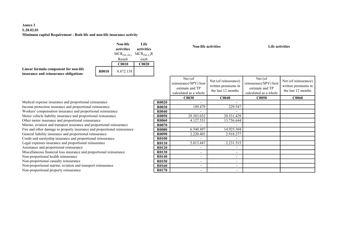### Annex I S.28.02.01 Minimum capital Requirement - Both life and non-life insurance activity

|                                                                                |              | Non-life<br>activities | Life<br>activities |
|--------------------------------------------------------------------------------|--------------|------------------------|--------------------|
|                                                                                |              | $MCR_{(NL, NL)}$       | $MCR_{(NLL)}R$     |
|                                                                                |              | Result                 | esult              |
|                                                                                |              | <b>C0010</b>           | <b>C0020</b>       |
| Linear formula component for non-life<br>insurance and reinsurance obligations | <b>R0010</b> | 8.872.158              |                    |

Non-life activities Life activities

|              | Net (of<br>reinsurance/SPV) best<br>estimate and TP<br>calculated as a whole | Net (of reinsurance)<br>written premiums in<br>the last 12 months | Net (of)<br>reinsurance/SPV) best<br>estimate and TP<br>calculated as a whole | Net (of reinsurance)<br>written premiums in<br>the last 12 months |
|--------------|------------------------------------------------------------------------------|-------------------------------------------------------------------|-------------------------------------------------------------------------------|-------------------------------------------------------------------|
|              | <b>C0030</b>                                                                 | C <sub>0040</sub>                                                 | <b>C0050</b>                                                                  | <b>C0060</b>                                                      |
| R0020        |                                                                              |                                                                   |                                                                               |                                                                   |
| <b>R0030</b> | 189.479                                                                      | 229.547                                                           |                                                                               |                                                                   |
| R0040        |                                                                              |                                                                   |                                                                               |                                                                   |
| R0050        | 29.383.032                                                                   | 20.531.429                                                        |                                                                               |                                                                   |
| R0060        | 4.127.531                                                                    | 13.756.644                                                        |                                                                               |                                                                   |
| R0070        |                                                                              |                                                                   |                                                                               |                                                                   |
| R0080        | 6.540.497                                                                    | 14.925.304                                                        |                                                                               |                                                                   |
| R0090        | 2.220.401                                                                    | 2.918.277                                                         |                                                                               |                                                                   |
| R0100        |                                                                              |                                                                   |                                                                               |                                                                   |
| R0110        | 5.013.447                                                                    | 2.231.515                                                         |                                                                               |                                                                   |
| R0120        |                                                                              |                                                                   |                                                                               |                                                                   |
| R0130        |                                                                              |                                                                   |                                                                               |                                                                   |
| R0140        |                                                                              |                                                                   |                                                                               |                                                                   |
| R0150        |                                                                              |                                                                   |                                                                               |                                                                   |
| R0160        |                                                                              |                                                                   |                                                                               |                                                                   |
| R0170        |                                                                              |                                                                   |                                                                               |                                                                   |

Medical expense insurance and proportional reinsurance Income protection insurance and proportional reinsurance Workers' compensation insurance and proportional reinsurance Motor vehicle liability insurance and proportional reinsurance Other motor insurance and proportional reinsurance Marine, aviation and transport insurance and proportional reinsurance Fire and other damage to property insurance and proportional reinsurance General liability insurance and proportional reinsurance Credit and suretyship insurance and proportional reinsurance Legal expenses insurance and proportional reinsurance Assistance and proportional reinsurance Miscellaneous financial loss insurance and proportional reinsurance Non-proportional health reinsurance Non-proportional casualty reinsurance Non-proportional marine, aviation and transport reinsurance

Non-proportional property reinsurance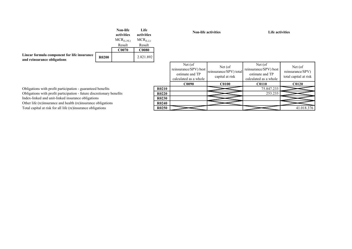|              | Non-life<br>activities | Life<br>activities |
|--------------|------------------------|--------------------|
|              | $MCR_{(L, NL)}$        | $MCR_{(L,L)}$      |
|              | Result                 | Result             |
|              | <b>C0070</b>           | <b>C0080</b>       |
| <b>R0200</b> |                        | 2.821.892          |
|              |                        |                    |

Non-life activities Life activities

|                                | Net (of)<br>reinsurance/SPV) best<br>estimate and TP<br>calculated as a whole | Net (of)<br>reinsurance/SPV) total<br>capital at risk | Net (of<br>reinsurance/SPV) best<br>estimate and TP<br>calculated as a whole | Net (of)<br>reinsurance/SPV)<br>total capital at risk |
|--------------------------------|-------------------------------------------------------------------------------|-------------------------------------------------------|------------------------------------------------------------------------------|-------------------------------------------------------|
|                                | <b>C0090</b>                                                                  | <b>C0100</b>                                          | <b>C0110</b>                                                                 | <b>C0120</b>                                          |
| R0210                          |                                                                               |                                                       | 75.847.233                                                                   |                                                       |
| R0220                          |                                                                               |                                                       | 253.233                                                                      |                                                       |
| R0230                          |                                                                               |                                                       |                                                                              |                                                       |
| R <sub>0</sub> 24 <sub>0</sub> |                                                                               |                                                       |                                                                              |                                                       |
| R <sub>0250</sub>              |                                                                               |                                                       |                                                                              | 41.018.376                                            |

Obligations with profit participation - guaranteed benefits Obligations with profit participation - future discretionary benefits Index-linked and unit-linked insurance obligations Other life (re)insurance and health (re)insurance obligations Total capital at risk for all life (re)insurance obligations